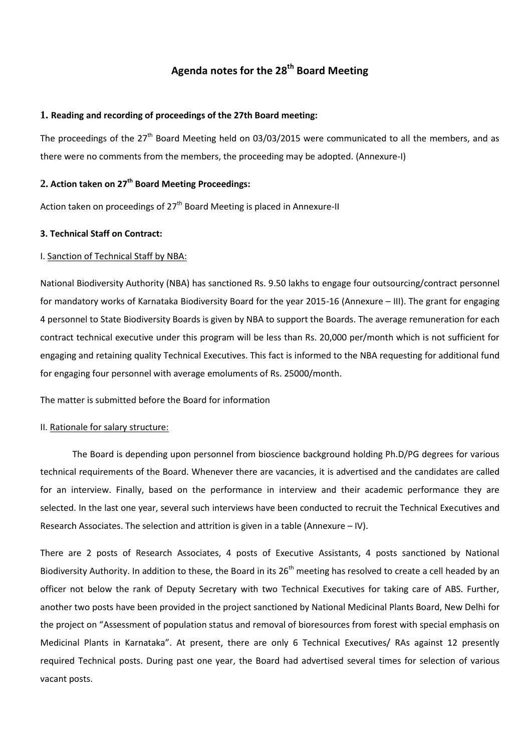# **Agenda notes for the 28 th Board Meeting**

### **1. Reading and recording of proceedings of the 27th Board meeting:**

The proceedings of the 27<sup>th</sup> Board Meeting held on 03/03/2015 were communicated to all the members, and as there were no comments from the members, the proceeding may be adopted. (Annexure-I)

# **2. Action taken on 27 th Board Meeting Proceedings:**

Action taken on proceedings of 27<sup>th</sup> Board Meeting is placed in Annexure-II

# **3. Technical Staff on Contract:**

# I. Sanction of Technical Staff by NBA:

National Biodiversity Authority (NBA) has sanctioned Rs. 9.50 lakhs to engage four outsourcing/contract personnel for mandatory works of Karnataka Biodiversity Board for the year 2015-16 (Annexure – III). The grant for engaging 4 personnel to State Biodiversity Boards is given by NBA to support the Boards. The average remuneration for each contract technical executive under this program will be less than Rs. 20,000 per/month which is not sufficient for engaging and retaining quality Technical Executives. This fact is informed to the NBA requesting for additional fund for engaging four personnel with average emoluments of Rs. 25000/month.

The matter is submitted before the Board for information

# II. Rationale for salary structure:

The Board is depending upon personnel from bioscience background holding Ph.D/PG degrees for various technical requirements of the Board. Whenever there are vacancies, it is advertised and the candidates are called for an interview. Finally, based on the performance in interview and their academic performance they are selected. In the last one year, several such interviews have been conducted to recruit the Technical Executives and Research Associates. The selection and attrition is given in a table (Annexure – IV).

There are 2 posts of Research Associates, 4 posts of Executive Assistants, 4 posts sanctioned by National Biodiversity Authority. In addition to these, the Board in its 26<sup>th</sup> meeting has resolved to create a cell headed by an officer not below the rank of Deputy Secretary with two Technical Executives for taking care of ABS. Further, another two posts have been provided in the project sanctioned by National Medicinal Plants Board, New Delhi for the project on "Assessment of population status and removal of bioresources from forest with special emphasis on Medicinal Plants in Karnataka". At present, there are only 6 Technical Executives/ RAs against 12 presently required Technical posts. During past one year, the Board had advertised several times for selection of various vacant posts.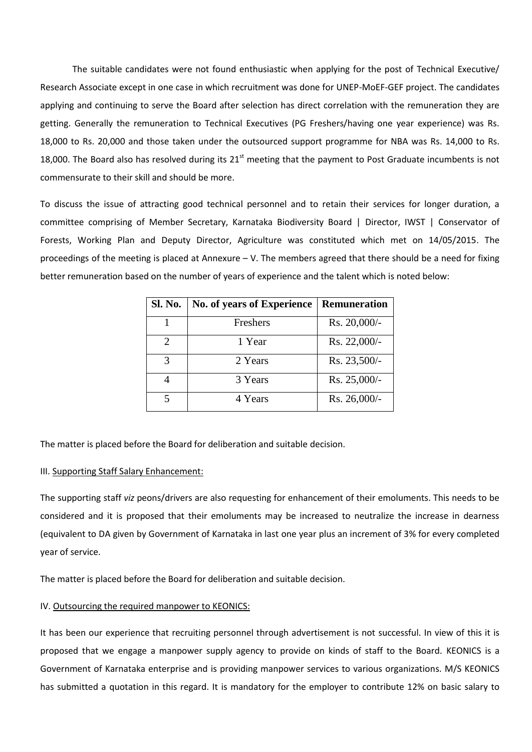The suitable candidates were not found enthusiastic when applying for the post of Technical Executive/ Research Associate except in one case in which recruitment was done for UNEP-MoEF-GEF project. The candidates applying and continuing to serve the Board after selection has direct correlation with the remuneration they are getting. Generally the remuneration to Technical Executives (PG Freshers/having one year experience) was Rs. 18,000 to Rs. 20,000 and those taken under the outsourced support programme for NBA was Rs. 14,000 to Rs. 18,000. The Board also has resolved during its  $21<sup>st</sup>$  meeting that the payment to Post Graduate incumbents is not commensurate to their skill and should be more.

To discuss the issue of attracting good technical personnel and to retain their services for longer duration, a committee comprising of Member Secretary, Karnataka Biodiversity Board | Director, IWST | Conservator of Forests, Working Plan and Deputy Director, Agriculture was constituted which met on 14/05/2015. The proceedings of the meeting is placed at Annexure – V. The members agreed that there should be a need for fixing better remuneration based on the number of years of experience and the talent which is noted below:

| <b>Sl. No.</b> | <b>No. of years of Experience</b> | Remuneration |
|----------------|-----------------------------------|--------------|
|                | Freshers                          | Rs. 20,000/- |
| 2              | 1 Year                            | Rs. 22,000/- |
| 3              | 2 Years                           | Rs. 23,500/- |
|                | 3 Years                           | Rs. 25,000/- |
| 5              | 4 Years                           | Rs. 26,000/- |

The matter is placed before the Board for deliberation and suitable decision.

#### III. Supporting Staff Salary Enhancement:

The supporting staff *viz* peons/drivers are also requesting for enhancement of their emoluments. This needs to be considered and it is proposed that their emoluments may be increased to neutralize the increase in dearness (equivalent to DA given by Government of Karnataka in last one year plus an increment of 3% for every completed year of service.

The matter is placed before the Board for deliberation and suitable decision.

#### IV. Outsourcing the required manpower to KEONICS:

It has been our experience that recruiting personnel through advertisement is not successful. In view of this it is proposed that we engage a manpower supply agency to provide on kinds of staff to the Board. KEONICS is a Government of Karnataka enterprise and is providing manpower services to various organizations. M/S KEONICS has submitted a quotation in this regard. It is mandatory for the employer to contribute 12% on basic salary to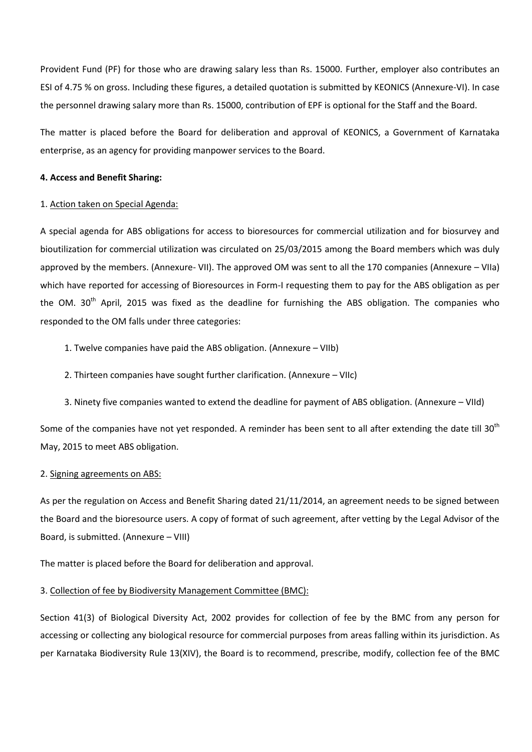Provident Fund (PF) for those who are drawing salary less than Rs. 15000. Further, employer also contributes an ESI of 4.75 % on gross. Including these figures, a detailed quotation is submitted by KEONICS (Annexure-VI). In case the personnel drawing salary more than Rs. 15000, contribution of EPF is optional for the Staff and the Board.

The matter is placed before the Board for deliberation and approval of KEONICS, a Government of Karnataka enterprise, as an agency for providing manpower services to the Board.

#### **4. Access and Benefit Sharing:**

#### 1. Action taken on Special Agenda:

A special agenda for ABS obligations for access to bioresources for commercial utilization and for biosurvey and bioutilization for commercial utilization was circulated on 25/03/2015 among the Board members which was duly approved by the members. (Annexure- VII). The approved OM was sent to all the 170 companies (Annexure – VIIa) which have reported for accessing of Bioresources in Form-I requesting them to pay for the ABS obligation as per the OM. 30<sup>th</sup> April, 2015 was fixed as the deadline for furnishing the ABS obligation. The companies who responded to the OM falls under three categories:

- 1. Twelve companies have paid the ABS obligation. (Annexure VIIb)
- 2. Thirteen companies have sought further clarification. (Annexure VIIc)
- 3. Ninety five companies wanted to extend the deadline for payment of ABS obligation. (Annexure VIId)

Some of the companies have not yet responded. A reminder has been sent to all after extending the date till 30<sup>th</sup> May, 2015 to meet ABS obligation.

#### 2. Signing agreements on ABS:

As per the regulation on Access and Benefit Sharing dated 21/11/2014, an agreement needs to be signed between the Board and the bioresource users. A copy of format of such agreement, after vetting by the Legal Advisor of the Board, is submitted. (Annexure – VIII)

The matter is placed before the Board for deliberation and approval.

# 3. Collection of fee by Biodiversity Management Committee (BMC):

Section 41(3) of Biological Diversity Act, 2002 provides for collection of fee by the BMC from any person for accessing or collecting any biological resource for commercial purposes from areas falling within its jurisdiction. As per Karnataka Biodiversity Rule 13(XIV), the Board is to recommend, prescribe, modify, collection fee of the BMC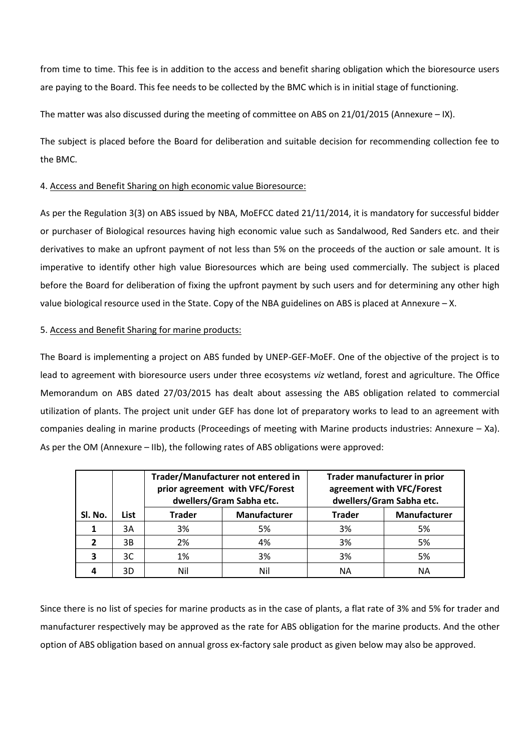from time to time. This fee is in addition to the access and benefit sharing obligation which the bioresource users are paying to the Board. This fee needs to be collected by the BMC which is in initial stage of functioning.

The matter was also discussed during the meeting of committee on ABS on 21/01/2015 (Annexure – IX).

The subject is placed before the Board for deliberation and suitable decision for recommending collection fee to the BMC.

# 4. Access and Benefit Sharing on high economic value Bioresource:

As per the Regulation 3(3) on ABS issued by NBA, MoEFCC dated 21/11/2014, it is mandatory for successful bidder or purchaser of Biological resources having high economic value such as Sandalwood, Red Sanders etc. and their derivatives to make an upfront payment of not less than 5% on the proceeds of the auction or sale amount. It is imperative to identify other high value Bioresources which are being used commercially. The subject is placed before the Board for deliberation of fixing the upfront payment by such users and for determining any other high value biological resource used in the State. Copy of the NBA guidelines on ABS is placed at Annexure – X.

# 5. Access and Benefit Sharing for marine products:

The Board is implementing a project on ABS funded by UNEP-GEF-MoEF. One of the objective of the project is to lead to agreement with bioresource users under three ecosystems *viz* wetland, forest and agriculture. The Office Memorandum on ABS dated 27/03/2015 has dealt about assessing the ABS obligation related to commercial utilization of plants. The project unit under GEF has done lot of preparatory works to lead to an agreement with companies dealing in marine products (Proceedings of meeting with Marine products industries: Annexure – Xa). As per the OM (Annexure – IIb), the following rates of ABS obligations were approved:

|         |      | Trader/Manufacturer not entered in<br>prior agreement with VFC/Forest<br>dwellers/Gram Sabha etc. |              |               | Trader manufacturer in prior<br>agreement with VFC/Forest<br>dwellers/Gram Sabha etc. |
|---------|------|---------------------------------------------------------------------------------------------------|--------------|---------------|---------------------------------------------------------------------------------------|
| Sl. No. | List | <b>Trader</b>                                                                                     | Manufacturer | <b>Trader</b> | Manufacturer                                                                          |
|         | 3A   | 3%                                                                                                | 5%           | 3%            | 5%                                                                                    |
|         | 3B   | 2%                                                                                                | 4%           | 3%            | 5%                                                                                    |
| 3       | 3C   | 1%                                                                                                | 3%           | 3%            | 5%                                                                                    |
|         | 3D   | Nil                                                                                               | Nil          | ΝA            | ΝA                                                                                    |

Since there is no list of species for marine products as in the case of plants, a flat rate of 3% and 5% for trader and manufacturer respectively may be approved as the rate for ABS obligation for the marine products. And the other option of ABS obligation based on annual gross ex-factory sale product as given below may also be approved.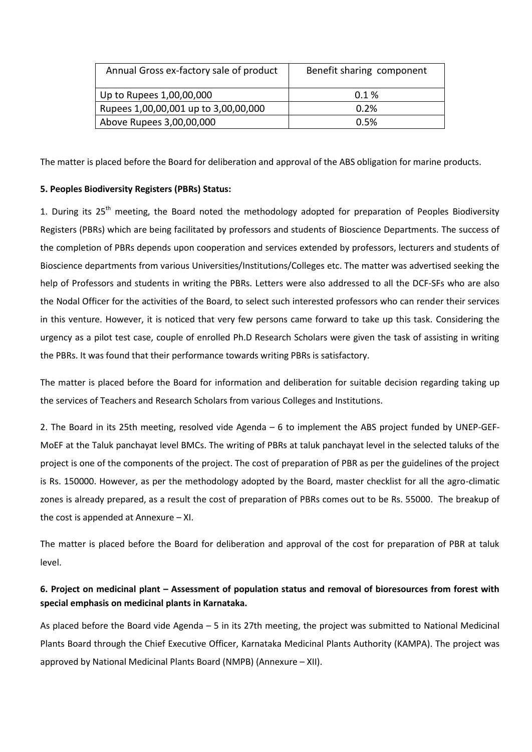| Annual Gross ex-factory sale of product | Benefit sharing component |  |
|-----------------------------------------|---------------------------|--|
| Up to Rupees 1,00,00,000                | 0.1%                      |  |
| Rupees 1,00,00,001 up to 3,00,00,000    | 0.2%                      |  |
| Above Rupees 3,00,00,000                | 0.5%                      |  |

The matter is placed before the Board for deliberation and approval of the ABS obligation for marine products.

# **5. Peoples Biodiversity Registers (PBRs) Status:**

1. During its 25<sup>th</sup> meeting, the Board noted the methodology adopted for preparation of Peoples Biodiversity Registers (PBRs) which are being facilitated by professors and students of Bioscience Departments. The success of the completion of PBRs depends upon cooperation and services extended by professors, lecturers and students of Bioscience departments from various Universities/Institutions/Colleges etc. The matter was advertised seeking the help of Professors and students in writing the PBRs. Letters were also addressed to all the DCF-SFs who are also the Nodal Officer for the activities of the Board, to select such interested professors who can render their services in this venture. However, it is noticed that very few persons came forward to take up this task. Considering the urgency as a pilot test case, couple of enrolled Ph.D Research Scholars were given the task of assisting in writing the PBRs. It was found that their performance towards writing PBRs is satisfactory.

The matter is placed before the Board for information and deliberation for suitable decision regarding taking up the services of Teachers and Research Scholars from various Colleges and Institutions.

2. The Board in its 25th meeting, resolved vide Agenda – 6 to implement the ABS project funded by UNEP-GEF-MoEF at the Taluk panchayat level BMCs. The writing of PBRs at taluk panchayat level in the selected taluks of the project is one of the components of the project. The cost of preparation of PBR as per the guidelines of the project is Rs. 150000. However, as per the methodology adopted by the Board, master checklist for all the agro-climatic zones is already prepared, as a result the cost of preparation of PBRs comes out to be Rs. 55000. The breakup of the cost is appended at Annexure – XI.

The matter is placed before the Board for deliberation and approval of the cost for preparation of PBR at taluk level.

# **6. Project on medicinal plant – Assessment of population status and removal of bioresources from forest with special emphasis on medicinal plants in Karnataka.**

As placed before the Board vide Agenda – 5 in its 27th meeting, the project was submitted to National Medicinal Plants Board through the Chief Executive Officer, Karnataka Medicinal Plants Authority (KAMPA). The project was approved by National Medicinal Plants Board (NMPB) (Annexure – XII).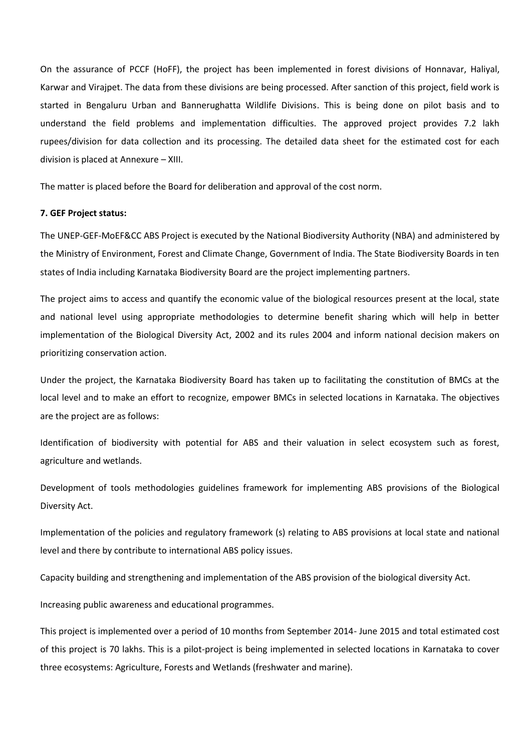On the assurance of PCCF (HoFF), the project has been implemented in forest divisions of Honnavar, Haliyal, Karwar and Virajpet. The data from these divisions are being processed. After sanction of this project, field work is started in Bengaluru Urban and Bannerughatta Wildlife Divisions. This is being done on pilot basis and to understand the field problems and implementation difficulties. The approved project provides 7.2 lakh rupees/division for data collection and its processing. The detailed data sheet for the estimated cost for each division is placed at Annexure – XIII.

The matter is placed before the Board for deliberation and approval of the cost norm.

#### **7. GEF Project status:**

The UNEP-GEF-MoEF&CC ABS Project is executed by the National Biodiversity Authority (NBA) and administered by the Ministry of Environment, Forest and Climate Change, Government of India. The State Biodiversity Boards in ten states of India including Karnataka Biodiversity Board are the project implementing partners.

The project aims to access and quantify the economic value of the biological resources present at the local, state and national level using appropriate methodologies to determine benefit sharing which will help in better implementation of the Biological Diversity Act, 2002 and its rules 2004 and inform national decision makers on prioritizing conservation action.

Under the project, the Karnataka Biodiversity Board has taken up to facilitating the constitution of BMCs at the local level and to make an effort to recognize, empower BMCs in selected locations in Karnataka. The objectives are the project are as follows:

Identification of biodiversity with potential for ABS and their valuation in select ecosystem such as forest, agriculture and wetlands.

Development of tools methodologies guidelines framework for implementing ABS provisions of the Biological Diversity Act.

Implementation of the policies and regulatory framework (s) relating to ABS provisions at local state and national level and there by contribute to international ABS policy issues.

Capacity building and strengthening and implementation of the ABS provision of the biological diversity Act.

Increasing public awareness and educational programmes.

This project is implemented over a period of 10 months from September 2014- June 2015 and total estimated cost of this project is 70 lakhs. This is a pilot-project is being implemented in selected locations in Karnataka to cover three ecosystems: Agriculture, Forests and Wetlands (freshwater and marine).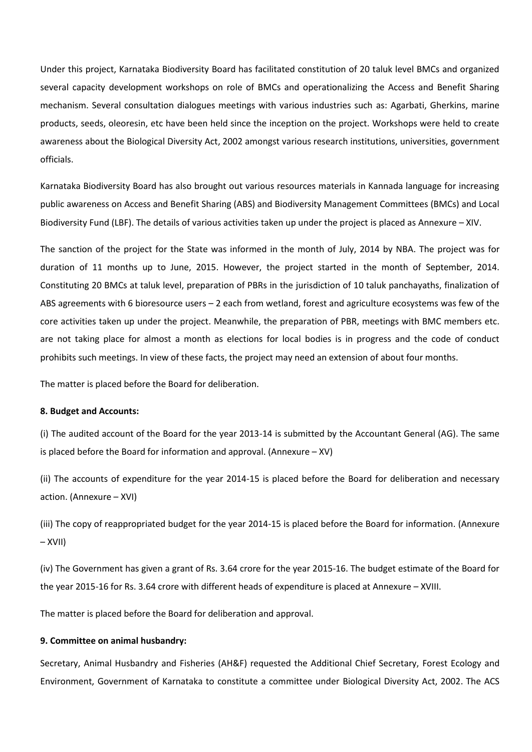Under this project, Karnataka Biodiversity Board has facilitated constitution of 20 taluk level BMCs and organized several capacity development workshops on role of BMCs and operationalizing the Access and Benefit Sharing mechanism. Several consultation dialogues meetings with various industries such as: Agarbati, Gherkins, marine products, seeds, oleoresin, etc have been held since the inception on the project. Workshops were held to create awareness about the Biological Diversity Act, 2002 amongst various research institutions, universities, government officials.

Karnataka Biodiversity Board has also brought out various resources materials in Kannada language for increasing public awareness on Access and Benefit Sharing (ABS) and Biodiversity Management Committees (BMCs) and Local Biodiversity Fund (LBF). The details of various activities taken up under the project is placed as Annexure – XIV.

The sanction of the project for the State was informed in the month of July, 2014 by NBA. The project was for duration of 11 months up to June, 2015. However, the project started in the month of September, 2014. Constituting 20 BMCs at taluk level, preparation of PBRs in the jurisdiction of 10 taluk panchayaths, finalization of ABS agreements with 6 bioresource users – 2 each from wetland, forest and agriculture ecosystems was few of the core activities taken up under the project. Meanwhile, the preparation of PBR, meetings with BMC members etc. are not taking place for almost a month as elections for local bodies is in progress and the code of conduct prohibits such meetings. In view of these facts, the project may need an extension of about four months.

The matter is placed before the Board for deliberation.

# **8. Budget and Accounts:**

(i) The audited account of the Board for the year 2013-14 is submitted by the Accountant General (AG). The same is placed before the Board for information and approval. (Annexure – XV)

(ii) The accounts of expenditure for the year 2014-15 is placed before the Board for deliberation and necessary action. (Annexure – XVI)

(iii) The copy of reappropriated budget for the year 2014-15 is placed before the Board for information. (Annexure – XVII)

(iv) The Government has given a grant of Rs. 3.64 crore for the year 2015-16. The budget estimate of the Board for the year 2015-16 for Rs. 3.64 crore with different heads of expenditure is placed at Annexure – XVIII.

The matter is placed before the Board for deliberation and approval.

#### **9. Committee on animal husbandry:**

Secretary, Animal Husbandry and Fisheries (AH&F) requested the Additional Chief Secretary, Forest Ecology and Environment, Government of Karnataka to constitute a committee under Biological Diversity Act, 2002. The ACS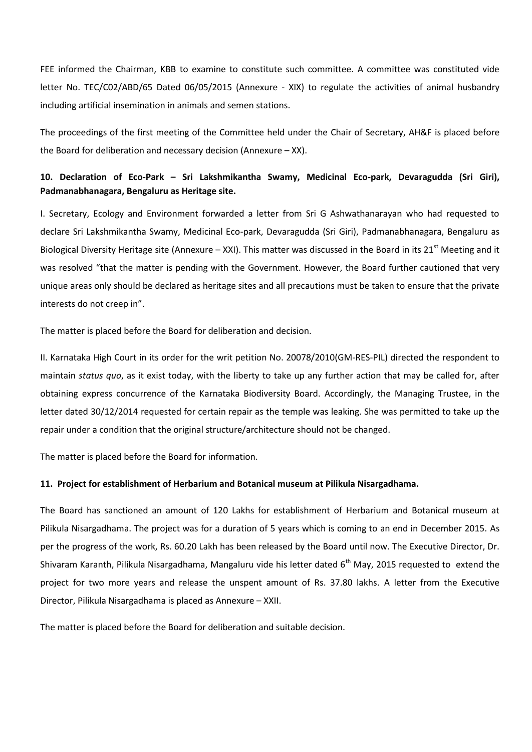FEE informed the Chairman, KBB to examine to constitute such committee. A committee was constituted vide letter No. TEC/C02/ABD/65 Dated 06/05/2015 (Annexure - XIX) to regulate the activities of animal husbandry including artificial insemination in animals and semen stations.

The proceedings of the first meeting of the Committee held under the Chair of Secretary, AH&F is placed before the Board for deliberation and necessary decision (Annexure – XX).

# **10. Declaration of Eco-Park – Sri Lakshmikantha Swamy, Medicinal Eco-park, Devaragudda (Sri Giri), Padmanabhanagara, Bengaluru as Heritage site.**

I. Secretary, Ecology and Environment forwarded a letter from Sri G Ashwathanarayan who had requested to declare Sri Lakshmikantha Swamy, Medicinal Eco-park, Devaragudda (Sri Giri), Padmanabhanagara, Bengaluru as Biological Diversity Heritage site (Annexure – XXI). This matter was discussed in the Board in its  $21^{st}$  Meeting and it was resolved "that the matter is pending with the Government. However, the Board further cautioned that very unique areas only should be declared as heritage sites and all precautions must be taken to ensure that the private interests do not creep in".

The matter is placed before the Board for deliberation and decision.

II. Karnataka High Court in its order for the writ petition No. 20078/2010(GM-RES-PIL) directed the respondent to maintain *status quo*, as it exist today, with the liberty to take up any further action that may be called for, after obtaining express concurrence of the Karnataka Biodiversity Board. Accordingly, the Managing Trustee, in the letter dated 30/12/2014 requested for certain repair as the temple was leaking. She was permitted to take up the repair under a condition that the original structure/architecture should not be changed.

The matter is placed before the Board for information.

# **11. Project for establishment of Herbarium and Botanical museum at Pilikula Nisargadhama.**

The Board has sanctioned an amount of 120 Lakhs for establishment of Herbarium and Botanical museum at Pilikula Nisargadhama. The project was for a duration of 5 years which is coming to an end in December 2015. As per the progress of the work, Rs. 60.20 Lakh has been released by the Board until now. The Executive Director, Dr. Shivaram Karanth, Pilikula Nisargadhama, Mangaluru vide his letter dated  $6<sup>th</sup>$  May, 2015 requested to extend the project for two more years and release the unspent amount of Rs. 37.80 lakhs. A letter from the Executive Director, Pilikula Nisargadhama is placed as Annexure – XXII.

The matter is placed before the Board for deliberation and suitable decision.